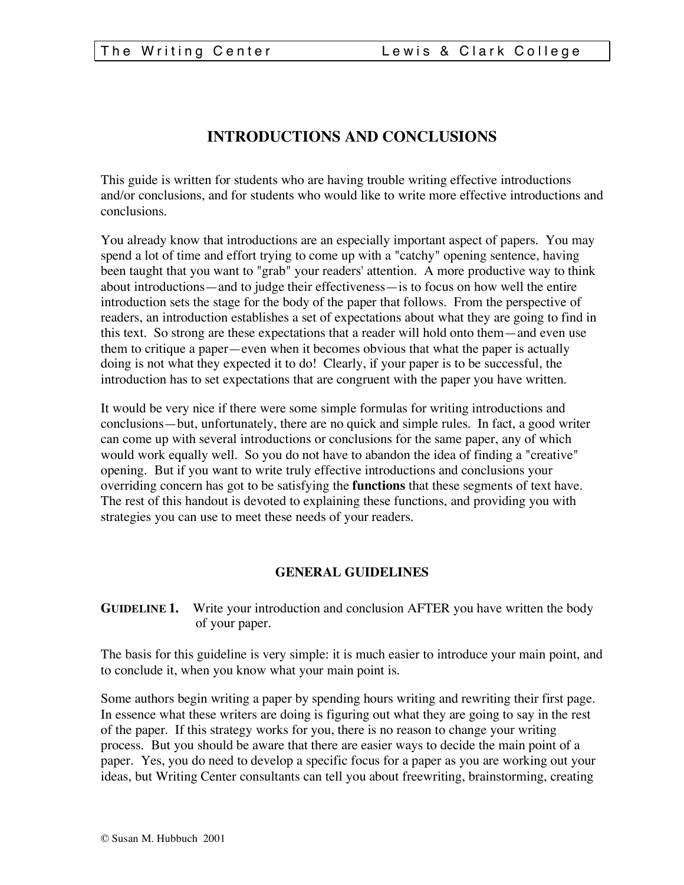# **INTRODUCTIONS AND CONCLUSIONS**

This guide is written for students who are having trouble writing effective introductions and/or conclusions, and for students who would like to write more effective introductions and conclusions.

You already know that introductions are an especially important aspect of papers. You may spend a lot of time and effort trying to come up with a "catchy" opening sentence, having been taught that you want to "grab" your readers' attention. A more productive way to think about introductions—and to judge their effectiveness—is to focus on how well the entire introduction sets the stage for the body of the paper that follows. From the perspective of readers, an introduction establishes a set of expectations about what they are going to find in this text. So strong are these expectations that a reader will hold onto them—and even use them to critique a paper—even when it becomes obvious that what the paper is actually doing is not what they expected it to do! Clearly, if your paper is to be successful, the introduction has to set expectations that are congruent with the paper you have written.

It would be very nice if there were some simple formulas for writing introductions and conclusions—but, unfortunately, there are no quick and simple rules. In fact, a good writer can come up with several introductions or conclusions for the same paper, any of which would work equally well. So you do not have to abandon the idea of finding a "creative" opening. But if you want to write truly effective introductions and conclusions your overriding concern has got to be satisfying the **functions** that these segments of text have. The rest of this handout is devoted to explaining these functions, and providing you with strategies you can use to meet these needs of your readers.

# **GENERAL GUIDELINES**

**GUIDELINE 1.** Write your introduction and conclusion AFTER you have written the body of your paper.

The basis for this guideline is very simple: it is much easier to introduce your main point, and to conclude it, when you know what your main point is.

Some authors begin writing a paper by spending hours writing and rewriting their first page. In essence what these writers are doing is figuring out what they are going to say in the rest of the paper. If this strategy works for you, there is no reason to change your writing process. But you should be aware that there are easier ways to decide the main point of a paper. Yes, you do need to develop a specific focus for a paper as you are working out your ideas, but Writing Center consultants can tell you about freewriting, brainstorming, creating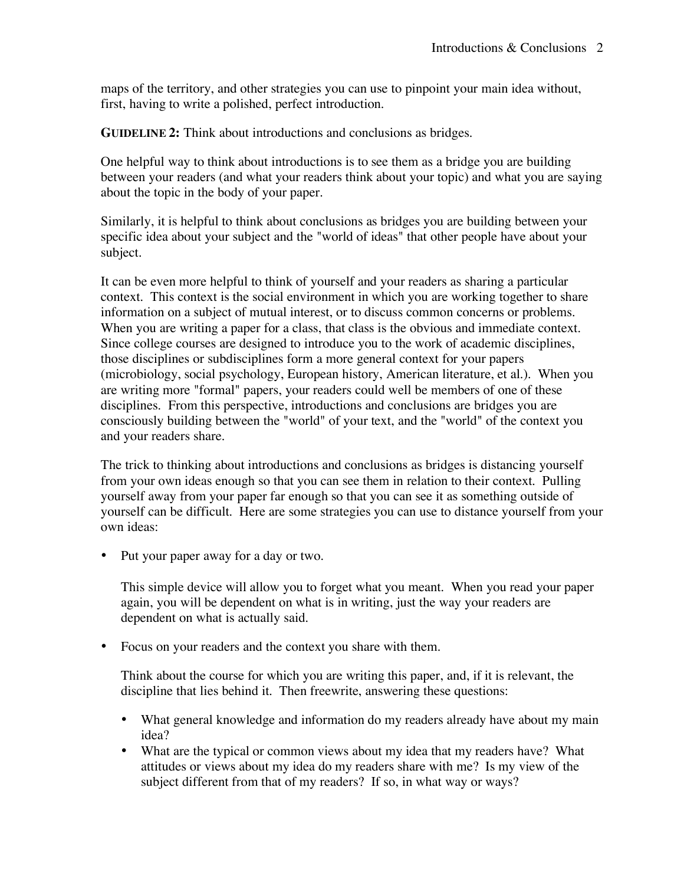maps of the territory, and other strategies you can use to pinpoint your main idea without, first, having to write a polished, perfect introduction.

**GUIDELINE 2:** Think about introductions and conclusions as bridges.

One helpful way to think about introductions is to see them as a bridge you are building between your readers (and what your readers think about your topic) and what you are saying about the topic in the body of your paper.

Similarly, it is helpful to think about conclusions as bridges you are building between your specific idea about your subject and the "world of ideas" that other people have about your subject.

It can be even more helpful to think of yourself and your readers as sharing a particular context. This context is the social environment in which you are working together to share information on a subject of mutual interest, or to discuss common concerns or problems. When you are writing a paper for a class, that class is the obvious and immediate context. Since college courses are designed to introduce you to the work of academic disciplines, those disciplines or subdisciplines form a more general context for your papers (microbiology, social psychology, European history, American literature, et al.). When you are writing more "formal" papers, your readers could well be members of one of these disciplines. From this perspective, introductions and conclusions are bridges you are consciously building between the "world" of your text, and the "world" of the context you and your readers share.

The trick to thinking about introductions and conclusions as bridges is distancing yourself from your own ideas enough so that you can see them in relation to their context. Pulling yourself away from your paper far enough so that you can see it as something outside of yourself can be difficult. Here are some strategies you can use to distance yourself from your own ideas:

• Put your paper away for a day or two.

This simple device will allow you to forget what you meant. When you read your paper again, you will be dependent on what is in writing, just the way your readers are dependent on what is actually said.

• Focus on your readers and the context you share with them.

Think about the course for which you are writing this paper, and, if it is relevant, the discipline that lies behind it. Then freewrite, answering these questions:

- What general knowledge and information do my readers already have about my main idea?
- What are the typical or common views about my idea that my readers have? What attitudes or views about my idea do my readers share with me? Is my view of the subject different from that of my readers? If so, in what way or ways?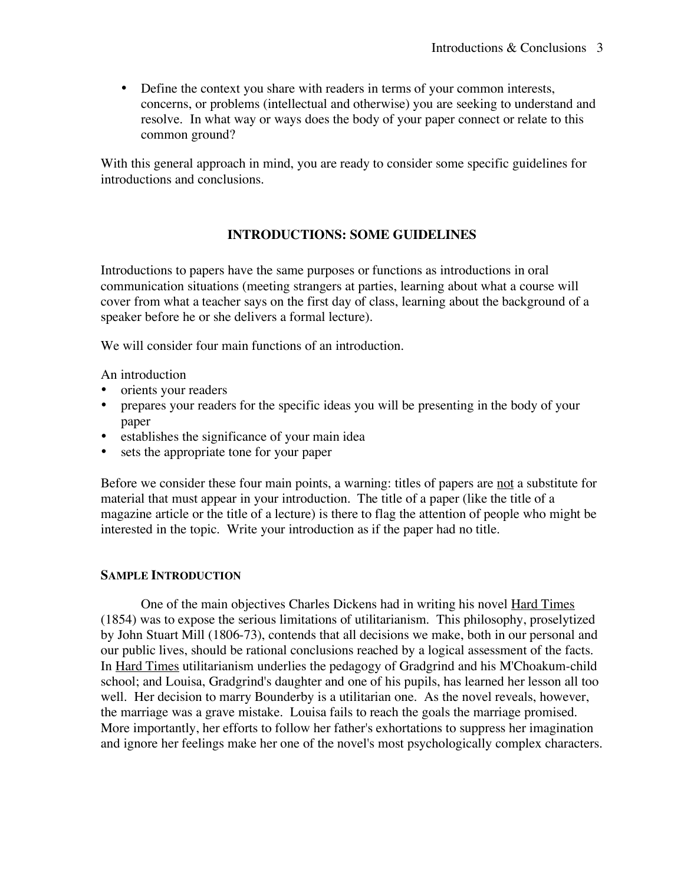• Define the context you share with readers in terms of your common interests, concerns, or problems (intellectual and otherwise) you are seeking to understand and resolve. In what way or ways does the body of your paper connect or relate to this common ground?

With this general approach in mind, you are ready to consider some specific guidelines for introductions and conclusions.

# **INTRODUCTIONS: SOME GUIDELINES**

Introductions to papers have the same purposes or functions as introductions in oral communication situations (meeting strangers at parties, learning about what a course will cover from what a teacher says on the first day of class, learning about the background of a speaker before he or she delivers a formal lecture).

We will consider four main functions of an introduction.

An introduction

- orients your readers
- prepares your readers for the specific ideas you will be presenting in the body of your paper
- establishes the significance of your main idea
- sets the appropriate tone for your paper

Before we consider these four main points, a warning: titles of papers are not a substitute for material that must appear in your introduction. The title of a paper (like the title of a magazine article or the title of a lecture) is there to flag the attention of people who might be interested in the topic. Write your introduction as if the paper had no title.

# **SAMPLE INTRODUCTION**

One of the main objectives Charles Dickens had in writing his novel Hard Times (1854) was to expose the serious limitations of utilitarianism. This philosophy, proselytized by John Stuart Mill (1806-73), contends that all decisions we make, both in our personal and our public lives, should be rational conclusions reached by a logical assessment of the facts. In Hard Times utilitarianism underlies the pedagogy of Gradgrind and his M'Choakum-child school; and Louisa, Gradgrind's daughter and one of his pupils, has learned her lesson all too well. Her decision to marry Bounderby is a utilitarian one. As the novel reveals, however, the marriage was a grave mistake. Louisa fails to reach the goals the marriage promised. More importantly, her efforts to follow her father's exhortations to suppress her imagination and ignore her feelings make her one of the novel's most psychologically complex characters.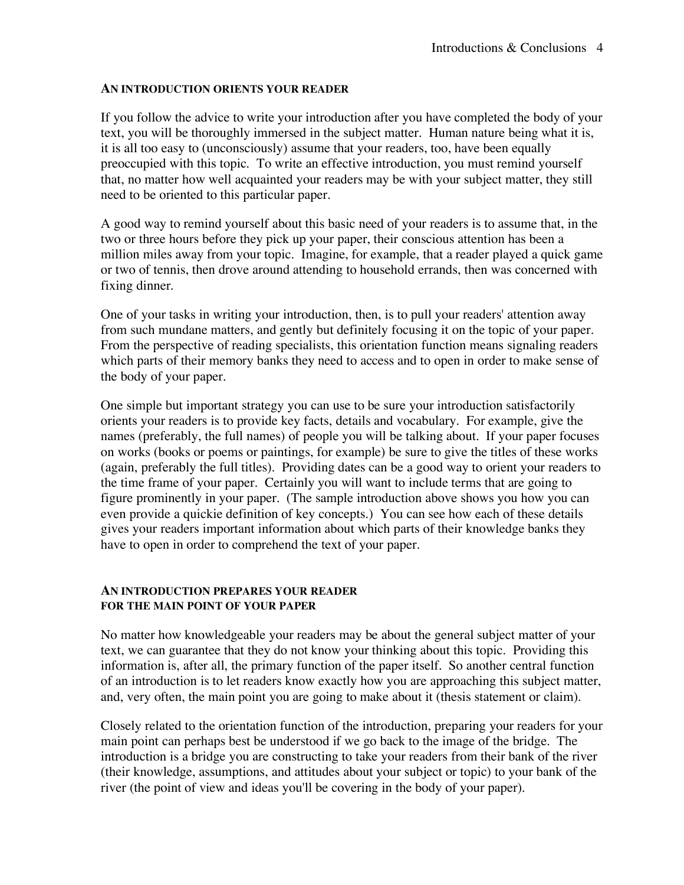#### **AN INTRODUCTION ORIENTS YOUR READER**

If you follow the advice to write your introduction after you have completed the body of your text, you will be thoroughly immersed in the subject matter. Human nature being what it is, it is all too easy to (unconsciously) assume that your readers, too, have been equally preoccupied with this topic. To write an effective introduction, you must remind yourself that, no matter how well acquainted your readers may be with your subject matter, they still need to be oriented to this particular paper.

A good way to remind yourself about this basic need of your readers is to assume that, in the two or three hours before they pick up your paper, their conscious attention has been a million miles away from your topic. Imagine, for example, that a reader played a quick game or two of tennis, then drove around attending to household errands, then was concerned with fixing dinner.

One of your tasks in writing your introduction, then, is to pull your readers' attention away from such mundane matters, and gently but definitely focusing it on the topic of your paper. From the perspective of reading specialists, this orientation function means signaling readers which parts of their memory banks they need to access and to open in order to make sense of the body of your paper.

One simple but important strategy you can use to be sure your introduction satisfactorily orients your readers is to provide key facts, details and vocabulary. For example, give the names (preferably, the full names) of people you will be talking about. If your paper focuses on works (books or poems or paintings, for example) be sure to give the titles of these works (again, preferably the full titles). Providing dates can be a good way to orient your readers to the time frame of your paper. Certainly you will want to include terms that are going to figure prominently in your paper. (The sample introduction above shows you how you can even provide a quickie definition of key concepts.) You can see how each of these details gives your readers important information about which parts of their knowledge banks they have to open in order to comprehend the text of your paper.

# **AN INTRODUCTION PREPARES YOUR READER FOR THE MAIN POINT OF YOUR PAPER**

No matter how knowledgeable your readers may be about the general subject matter of your text, we can guarantee that they do not know your thinking about this topic. Providing this information is, after all, the primary function of the paper itself. So another central function of an introduction is to let readers know exactly how you are approaching this subject matter, and, very often, the main point you are going to make about it (thesis statement or claim).

Closely related to the orientation function of the introduction, preparing your readers for your main point can perhaps best be understood if we go back to the image of the bridge. The introduction is a bridge you are constructing to take your readers from their bank of the river (their knowledge, assumptions, and attitudes about your subject or topic) to your bank of the river (the point of view and ideas you'll be covering in the body of your paper).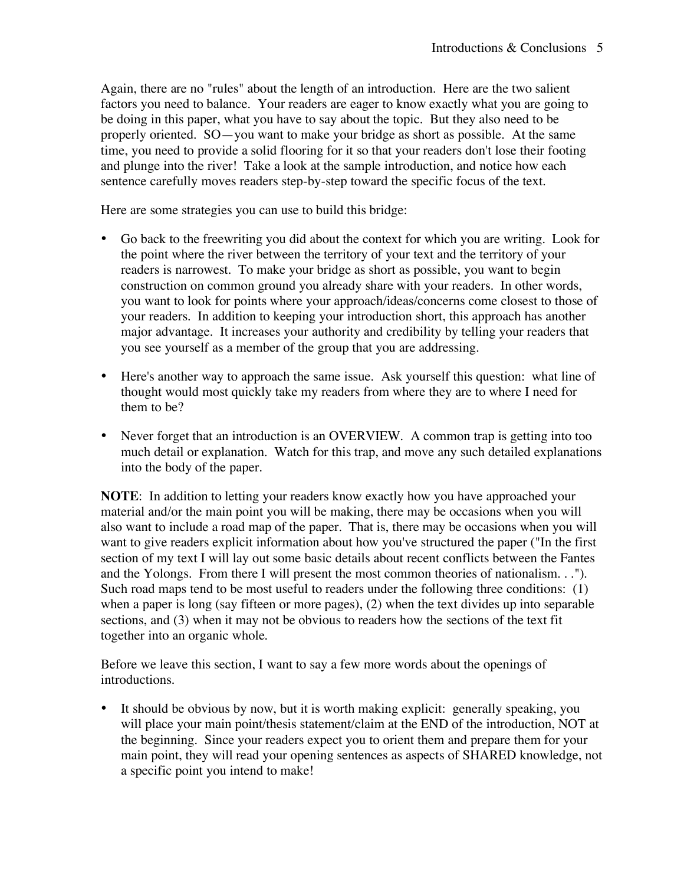Again, there are no "rules" about the length of an introduction. Here are the two salient factors you need to balance. Your readers are eager to know exactly what you are going to be doing in this paper, what you have to say about the topic. But they also need to be properly oriented. SO—you want to make your bridge as short as possible. At the same time, you need to provide a solid flooring for it so that your readers don't lose their footing and plunge into the river! Take a look at the sample introduction, and notice how each sentence carefully moves readers step-by-step toward the specific focus of the text.

Here are some strategies you can use to build this bridge:

- Go back to the freewriting you did about the context for which you are writing. Look for the point where the river between the territory of your text and the territory of your readers is narrowest. To make your bridge as short as possible, you want to begin construction on common ground you already share with your readers. In other words, you want to look for points where your approach/ideas/concerns come closest to those of your readers. In addition to keeping your introduction short, this approach has another major advantage. It increases your authority and credibility by telling your readers that you see yourself as a member of the group that you are addressing.
- Here's another way to approach the same issue. Ask yourself this question: what line of thought would most quickly take my readers from where they are to where I need for them to be?
- Never forget that an introduction is an OVERVIEW. A common trap is getting into too much detail or explanation. Watch for this trap, and move any such detailed explanations into the body of the paper.

**NOTE**: In addition to letting your readers know exactly how you have approached your material and/or the main point you will be making, there may be occasions when you will also want to include a road map of the paper. That is, there may be occasions when you will want to give readers explicit information about how you've structured the paper ("In the first section of my text I will lay out some basic details about recent conflicts between the Fantes and the Yolongs. From there I will present the most common theories of nationalism. . ."). Such road maps tend to be most useful to readers under the following three conditions: (1) when a paper is long (say fifteen or more pages), (2) when the text divides up into separable sections, and (3) when it may not be obvious to readers how the sections of the text fit together into an organic whole.

Before we leave this section, I want to say a few more words about the openings of introductions.

It should be obvious by now, but it is worth making explicit: generally speaking, you will place your main point/thesis statement/claim at the END of the introduction, NOT at the beginning. Since your readers expect you to orient them and prepare them for your main point, they will read your opening sentences as aspects of SHARED knowledge, not a specific point you intend to make!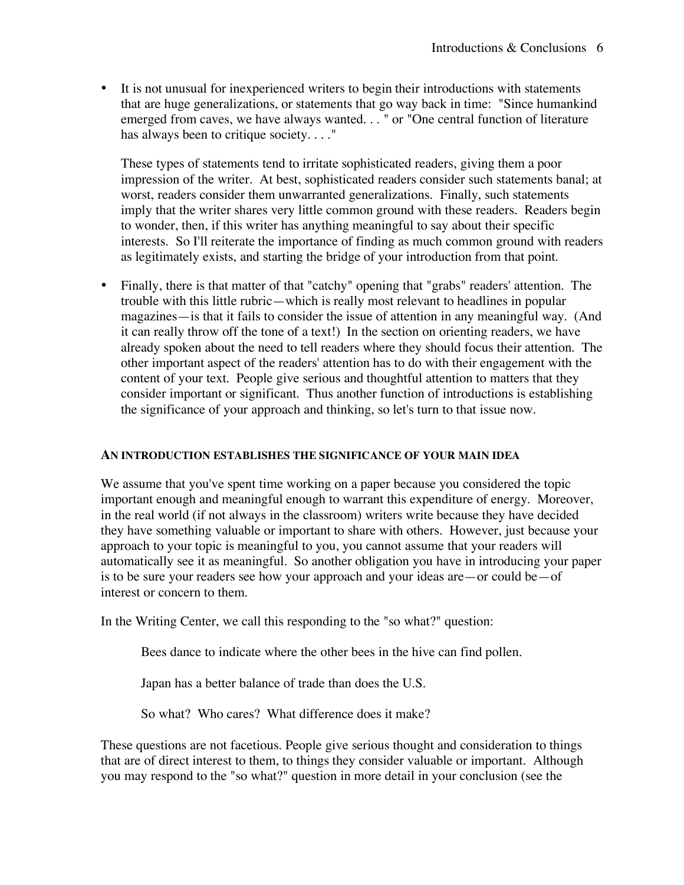• It is not unusual for inexperienced writers to begin their introductions with statements that are huge generalizations, or statements that go way back in time: "Since humankind emerged from caves, we have always wanted. . . " or "One central function of literature has always been to critique society...."

These types of statements tend to irritate sophisticated readers, giving them a poor impression of the writer. At best, sophisticated readers consider such statements banal; at worst, readers consider them unwarranted generalizations. Finally, such statements imply that the writer shares very little common ground with these readers. Readers begin to wonder, then, if this writer has anything meaningful to say about their specific interests. So I'll reiterate the importance of finding as much common ground with readers as legitimately exists, and starting the bridge of your introduction from that point.

• Finally, there is that matter of that "catchy" opening that "grabs" readers' attention. The trouble with this little rubric—which is really most relevant to headlines in popular magazines—is that it fails to consider the issue of attention in any meaningful way. (And it can really throw off the tone of a text!) In the section on orienting readers, we have already spoken about the need to tell readers where they should focus their attention. The other important aspect of the readers' attention has to do with their engagement with the content of your text. People give serious and thoughtful attention to matters that they consider important or significant. Thus another function of introductions is establishing the significance of your approach and thinking, so let's turn to that issue now.

#### **AN INTRODUCTION ESTABLISHES THE SIGNIFICANCE OF YOUR MAIN IDEA**

We assume that you've spent time working on a paper because you considered the topic important enough and meaningful enough to warrant this expenditure of energy. Moreover, in the real world (if not always in the classroom) writers write because they have decided they have something valuable or important to share with others. However, just because your approach to your topic is meaningful to you, you cannot assume that your readers will automatically see it as meaningful. So another obligation you have in introducing your paper is to be sure your readers see how your approach and your ideas are—or could be—of interest or concern to them.

In the Writing Center, we call this responding to the "so what?" question:

Bees dance to indicate where the other bees in the hive can find pollen.

Japan has a better balance of trade than does the U.S.

So what? Who cares? What difference does it make?

These questions are not facetious. People give serious thought and consideration to things that are of direct interest to them, to things they consider valuable or important. Although you may respond to the "so what?" question in more detail in your conclusion (see the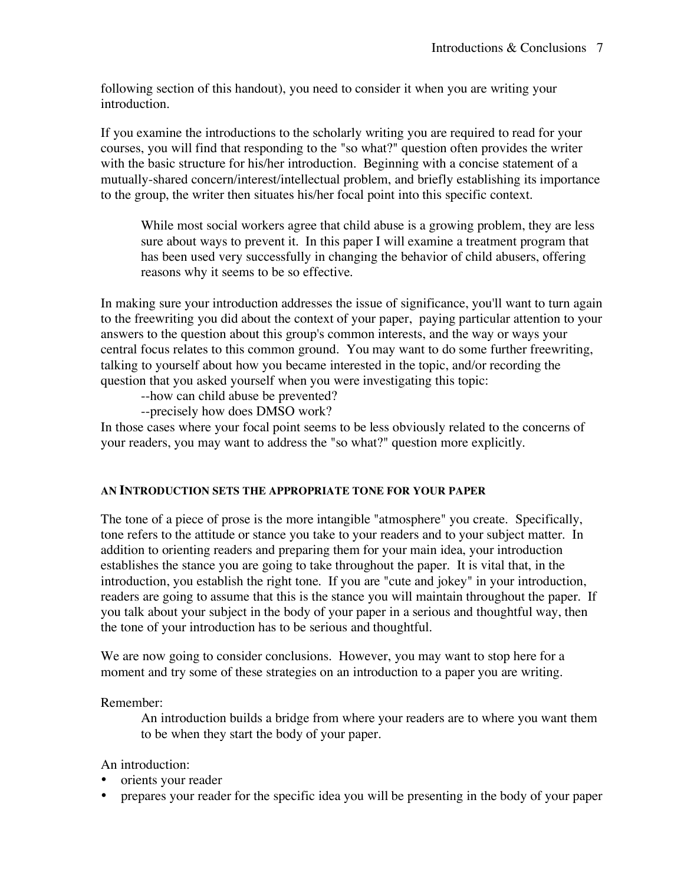following section of this handout), you need to consider it when you are writing your introduction.

If you examine the introductions to the scholarly writing you are required to read for your courses, you will find that responding to the "so what?" question often provides the writer with the basic structure for his/her introduction. Beginning with a concise statement of a mutually-shared concern/interest/intellectual problem, and briefly establishing its importance to the group, the writer then situates his/her focal point into this specific context.

While most social workers agree that child abuse is a growing problem, they are less sure about ways to prevent it. In this paper I will examine a treatment program that has been used very successfully in changing the behavior of child abusers, offering reasons why it seems to be so effective.

In making sure your introduction addresses the issue of significance, you'll want to turn again to the freewriting you did about the context of your paper, paying particular attention to your answers to the question about this group's common interests, and the way or ways your central focus relates to this common ground. You may want to do some further freewriting, talking to yourself about how you became interested in the topic, and/or recording the question that you asked yourself when you were investigating this topic:

--how can child abuse be prevented?

--precisely how does DMSO work?

In those cases where your focal point seems to be less obviously related to the concerns of your readers, you may want to address the "so what?" question more explicitly.

# **AN INTRODUCTION SETS THE APPROPRIATE TONE FOR YOUR PAPER**

The tone of a piece of prose is the more intangible "atmosphere" you create. Specifically, tone refers to the attitude or stance you take to your readers and to your subject matter. In addition to orienting readers and preparing them for your main idea, your introduction establishes the stance you are going to take throughout the paper. It is vital that, in the introduction, you establish the right tone. If you are "cute and jokey" in your introduction, readers are going to assume that this is the stance you will maintain throughout the paper. If you talk about your subject in the body of your paper in a serious and thoughtful way, then the tone of your introduction has to be serious and thoughtful.

We are now going to consider conclusions. However, you may want to stop here for a moment and try some of these strategies on an introduction to a paper you are writing.

Remember:

An introduction builds a bridge from where your readers are to where you want them to be when they start the body of your paper.

An introduction:

- orients your reader
- prepares your reader for the specific idea you will be presenting in the body of your paper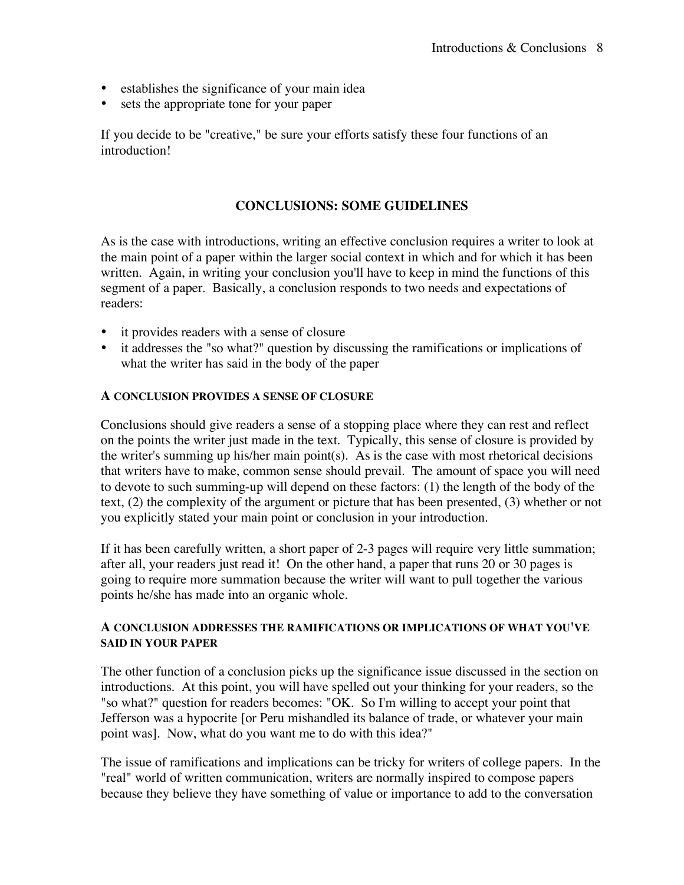- establishes the significance of your main idea
- sets the appropriate tone for your paper

If you decide to be "creative," be sure your efforts satisfy these four functions of an introduction!

### **CONCLUSIONS: SOME GUIDELINES**

As is the case with introductions, writing an effective conclusion requires a writer to look at the main point of a paper within the larger social context in which and for which it has been written. Again, in writing your conclusion you'll have to keep in mind the functions of this segment of a paper. Basically, a conclusion responds to two needs and expectations of readers:

- it provides readers with a sense of closure
- it addresses the "so what?" question by discussing the ramifications or implications of what the writer has said in the body of the paper

#### **A CONCLUSION PROVIDES A SENSE OF CLOSURE**

Conclusions should give readers a sense of a stopping place where they can rest and reflect on the points the writer just made in the text. Typically, this sense of closure is provided by the writer's summing up his/her main point(s). As is the case with most rhetorical decisions that writers have to make, common sense should prevail. The amount of space you will need to devote to such summing-up will depend on these factors: (1) the length of the body of the text, (2) the complexity of the argument or picture that has been presented, (3) whether or not you explicitly stated your main point or conclusion in your introduction.

If it has been carefully written, a short paper of 2-3 pages will require very little summation; after all, your readers just read it! On the other hand, a paper that runs 20 or 30 pages is going to require more summation because the writer will want to pull together the various points he/she has made into an organic whole.

#### **A CONCLUSION ADDRESSES THE RAMIFICATIONS OR IMPLICATIONS OF WHAT YOU'VE SAID IN YOUR PAPER**

The other function of a conclusion picks up the significance issue discussed in the section on introductions. At this point, you will have spelled out your thinking for your readers, so the "so what?" question for readers becomes: "OK. So I'm willing to accept your point that Jefferson was a hypocrite [or Peru mishandled its balance of trade, or whatever your main point was]. Now, what do you want me to do with this idea?"

The issue of ramifications and implications can be tricky for writers of college papers. In the "real" world of written communication, writers are normally inspired to compose papers because they believe they have something of value or importance to add to the conversation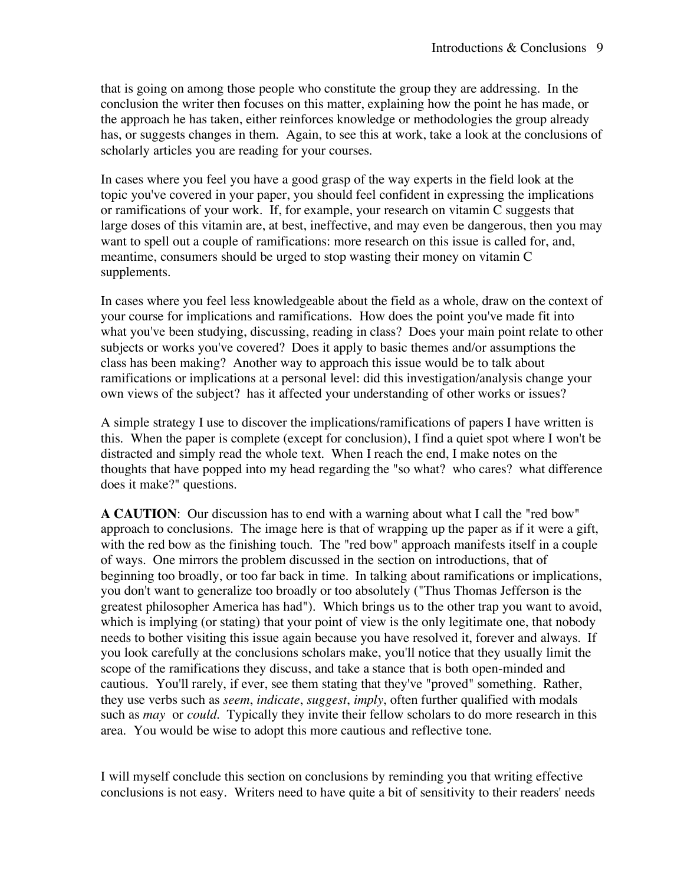that is going on among those people who constitute the group they are addressing. In the conclusion the writer then focuses on this matter, explaining how the point he has made, or the approach he has taken, either reinforces knowledge or methodologies the group already has, or suggests changes in them. Again, to see this at work, take a look at the conclusions of scholarly articles you are reading for your courses.

In cases where you feel you have a good grasp of the way experts in the field look at the topic you've covered in your paper, you should feel confident in expressing the implications or ramifications of your work. If, for example, your research on vitamin C suggests that large doses of this vitamin are, at best, ineffective, and may even be dangerous, then you may want to spell out a couple of ramifications: more research on this issue is called for, and, meantime, consumers should be urged to stop wasting their money on vitamin C supplements.

In cases where you feel less knowledgeable about the field as a whole, draw on the context of your course for implications and ramifications. How does the point you've made fit into what you've been studying, discussing, reading in class? Does your main point relate to other subjects or works you've covered? Does it apply to basic themes and/or assumptions the class has been making? Another way to approach this issue would be to talk about ramifications or implications at a personal level: did this investigation/analysis change your own views of the subject? has it affected your understanding of other works or issues?

A simple strategy I use to discover the implications/ramifications of papers I have written is this. When the paper is complete (except for conclusion), I find a quiet spot where I won't be distracted and simply read the whole text. When I reach the end, I make notes on the thoughts that have popped into my head regarding the "so what? who cares? what difference does it make?" questions.

**A CAUTION**: Our discussion has to end with a warning about what I call the "red bow" approach to conclusions. The image here is that of wrapping up the paper as if it were a gift, with the red bow as the finishing touch. The "red bow" approach manifests itself in a couple of ways. One mirrors the problem discussed in the section on introductions, that of beginning too broadly, or too far back in time. In talking about ramifications or implications, you don't want to generalize too broadly or too absolutely ("Thus Thomas Jefferson is the greatest philosopher America has had"). Which brings us to the other trap you want to avoid, which is implying (or stating) that your point of view is the only legitimate one, that nobody needs to bother visiting this issue again because you have resolved it, forever and always. If you look carefully at the conclusions scholars make, you'll notice that they usually limit the scope of the ramifications they discuss, and take a stance that is both open-minded and cautious. You'll rarely, if ever, see them stating that they've "proved" something. Rather, they use verbs such as *seem*, *indicate*, *suggest*, *imply*, often further qualified with modals such as *may* or *could*. Typically they invite their fellow scholars to do more research in this area. You would be wise to adopt this more cautious and reflective tone.

I will myself conclude this section on conclusions by reminding you that writing effective conclusions is not easy. Writers need to have quite a bit of sensitivity to their readers' needs